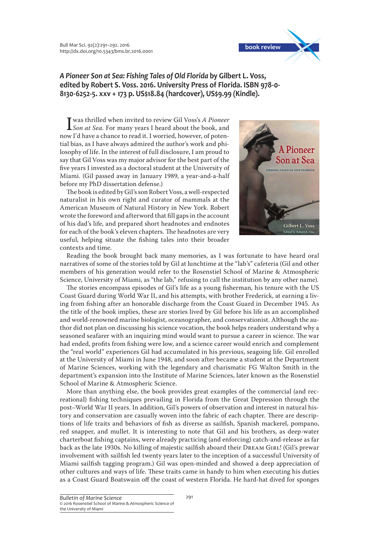Bull Mar Sci. 92(2):291–292. 2016 http://dx.doi.org/10.5343/bms.br.2016.0001



*A Pioneer Son at Sea: Fishing Tales of Old Florida* **by Gilbert L. Voss, edited by Robert S. Voss. 2016. University Press of Florida. ISBN 978-0- 8130-6252-5. xxv + 173 p. US\$18.84 (hardcover), US\$9.99 (Kindle).**

I was thrilled when invited to review Gil Voss's *A Pioneer Son at Sea.* For many years I heard about the book, and now I'd have a chance to read it. I worried, however, of potential bias, as I have always admired the author's work and philosophy of life. In the interest of full disclosure, I am proud to say that Gil Voss was my major advisor for the best part of the five years I invested as a doctoral student at the University of Miami. (Gil passed away in January 1989, a year-and-a-half before my PhD dissertation defense.)

The book is edited by Gil's son Robert Voss, a well-respected naturalist in his own right and curator of mammals at the American Museum of Natural History in New York. Robert wrote the foreword and afterword that fill gaps in the account of his dad's life, and prepared short headnotes and endnotes for each of the book's eleven chapters. The headnotes are very useful, helping situate the fishing tales into their broader contexts and time.



Reading the book brought back many memories, as I was fortunate to have heard oral narratives of some of the stories told by Gil at lunchtime at the "lab's" cafeteria (Gil and other members of his generation would refer to the Rosenstiel School of Marine & Atmospheric Science, University of Miami, as "the lab," refusing to call the institution by any other name).

The stories encompass episodes of Gil's life as a young fisherman, his tenure with the US Coast Guard during World War II, and his attempts, with brother Frederick, at earning a living from fishing after an honorable discharge from the Coast Guard in December 1945. As the title of the book implies, these are stories lived by Gil before his life as an accomplished and world-renowned marine biologist, oceanographer, and conservationist. Although the author did not plan on discussing his science vocation, the book helps readers understand why a seasoned seafarer with an inquiring mind would want to pursue a career in science. The war had ended, profits from fishing were low, and a science career would enrich and complement the "real world" experiences Gil had accumulated in his previous, seagoing life. Gil enrolled at the University of Miami in June 1948, and soon after became a student at the Department of Marine Sciences, working with the legendary and charismatic FG Walton Smith in the department's expansion into the Institute of Marine Sciences, later known as the Rosenstiel School of Marine & Atmospheric Science.

More than anything else, the book provides great examples of the commercial (and recreational) fishing techniques prevailing in Florida from the Great Depression through the post–World War II years. In addition, Gil's powers of observation and interest in natural history and conservation are casually woven into the fabric of each chapter. There are descriptions of life traits and behaviors of fish as diverse as sailfish, Spanish mackerel, pompano, red snapper, and mullet. It is interesting to note that Gil and his brothers, as deep-water charterboat fishing captains, were already practicing (and enforcing) catch-and-release as far back as the late 1930s. No killing of majestic sailfish aboard their DREAM GIRL! (Gil's prewar involvement with sailfish led twenty years later to the inception of a successful University of Miami sailfish tagging program.) Gil was open-minded and showed a deep appreciation of other cultures and ways of life. These traits came in handy to him when executing his duties as a Coast Guard Boatswain off the coast of western Florida. He hard-hat dived for sponges